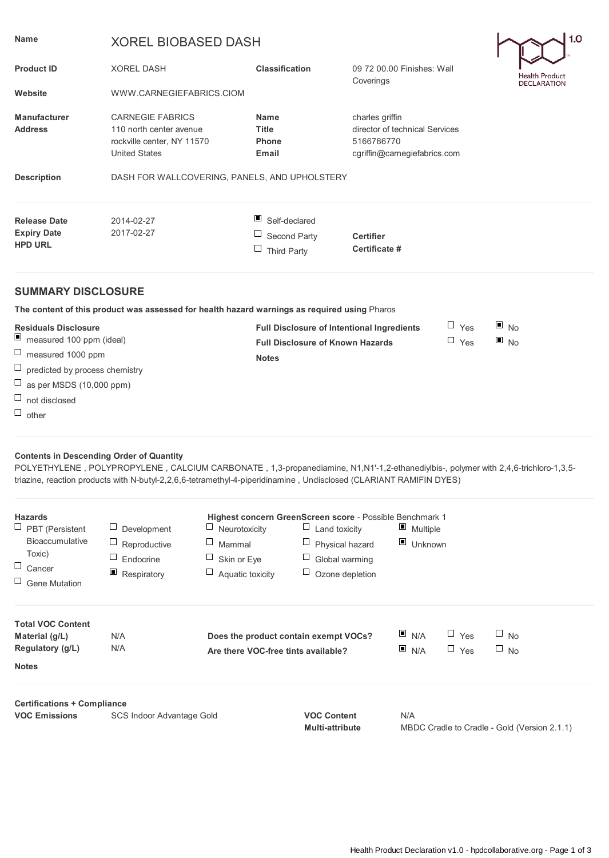| <b>Name</b>                                                                                                                                                                                                                                                                                                 | 1.0<br><b>XOREL BIOBASED DASH</b>                                                                        |                                                                                                                                                                                 |                                                                                                 |  |                    |  |
|-------------------------------------------------------------------------------------------------------------------------------------------------------------------------------------------------------------------------------------------------------------------------------------------------------------|----------------------------------------------------------------------------------------------------------|---------------------------------------------------------------------------------------------------------------------------------------------------------------------------------|-------------------------------------------------------------------------------------------------|--|--------------------|--|
| <b>Product ID</b>                                                                                                                                                                                                                                                                                           | <b>XOREL DASH</b>                                                                                        | <b>Classification</b>                                                                                                                                                           | 09 72 00.00 Finishes: Wall                                                                      |  | Health Product     |  |
| Website                                                                                                                                                                                                                                                                                                     | WWW.CARNEGIEFABRICS.CIOM                                                                                 |                                                                                                                                                                                 | Coverings                                                                                       |  | <b>DECLARATION</b> |  |
| <b>Manufacturer</b><br><b>Address</b>                                                                                                                                                                                                                                                                       | <b>CARNEGIE FABRICS</b><br>110 north center avenue<br>rockville center, NY 11570<br><b>United States</b> | <b>Name</b><br><b>Title</b><br><b>Phone</b><br>Email                                                                                                                            | charles griffin<br>director of technical Services<br>5166786770<br>cgriffin@carnegiefabrics.com |  |                    |  |
| <b>Description</b>                                                                                                                                                                                                                                                                                          | DASH FOR WALLCOVERING, PANELS, AND UPHOLSTERY                                                            |                                                                                                                                                                                 |                                                                                                 |  |                    |  |
| <b>Release Date</b><br><b>Expiry Date</b><br><b>HPD URL</b>                                                                                                                                                                                                                                                 | 2014-02-27<br>2017-02-27                                                                                 | ш<br>Self-declared<br>Ц<br>Second Party<br>$\Box$<br>Third Party                                                                                                                | <b>Certifier</b><br>Certificate #                                                               |  |                    |  |
| <b>SUMMARY DISCLOSURE</b>                                                                                                                                                                                                                                                                                   |                                                                                                          |                                                                                                                                                                                 |                                                                                                 |  |                    |  |
|                                                                                                                                                                                                                                                                                                             | The content of this product was assessed for health hazard warnings as required using Pharos             |                                                                                                                                                                                 |                                                                                                 |  |                    |  |
| <b>Residuals Disclosure</b><br>$\blacksquare$<br>measured 100 ppm (ideal)<br>$\Box$<br>measured 1000 ppm<br>$\Box$<br>predicted by process chemistry<br>$\Box$<br>as per MSDS (10,000 ppm)<br>$\Box$<br>not disclosed<br>$\Box$ other                                                                       |                                                                                                          | $\Box$ Yes<br>▣<br><b>No</b><br><b>Full Disclosure of Intentional Ingredients</b><br>$\blacksquare$ No<br>$\Box$ Yes<br><b>Full Disclosure of Known Hazards</b><br><b>Notes</b> |                                                                                                 |  |                    |  |
| <b>Contents in Descending Order of Quantity</b><br>POLYETHYLENE, POLYPROPYLENE, CALCIUM CARBONATE, 1,3-propanediamine, N1,N1'-1,2-ethanediylbis-, polymer with 2,4,6-trichloro-1,3,5-<br>triazine, reaction products with N-butyl-2,2,6,6-tetramethyl-4-piperidinamine, Undisclosed (CLARIANT RAMIFIN DYES) |                                                                                                          |                                                                                                                                                                                 |                                                                                                 |  |                    |  |

| <b>Hazards</b>                                    |                   |                                       | Highest concern GreenScreen score - Possible Benchmark 1 |                                              |
|---------------------------------------------------|-------------------|---------------------------------------|----------------------------------------------------------|----------------------------------------------|
| $\Box$ PBT (Persistent                            | Development       | $\Box$ Neurotoxicity                  | $\Box$ Land toxicity                                     | $\blacksquare$ Multiple                      |
| <b>Bioaccumulative</b>                            | Ц<br>Reproductive | ⊔<br>Mammal                           | $\Box$ Physical hazard                                   | $\Box$ Unknown                               |
| Toxic)                                            | Endocrine         | Ц<br>Skin or Eye                      | $\Box$ Global warming                                    |                                              |
| $\Box$ Cancer                                     | ▣<br>Respiratory  | $\Box$<br>Aquatic toxicity            | $\Box$ Ozone depletion                                   |                                              |
| $\Box$ Gene Mutation                              |                   |                                       |                                                          |                                              |
| <b>Total VOC Content</b><br>Material (g/L)        | N/A               | Does the product contain exempt VOCs? |                                                          | N/A<br>$\Box$ No<br>$\sqcup$ Yes             |
| Regulatory (g/L)<br>N/A                           |                   | Are there VOC-free tints available?   |                                                          | N/A<br>$\Box$ No<br>$\Box$ Yes               |
| <b>Notes</b>                                      |                   |                                       |                                                          |                                              |
| <b>Certifications + Compliance</b>                |                   |                                       |                                                          |                                              |
| <b>VOC Emissions</b><br>SCS Indoor Advantage Gold |                   | <b>VOC Content</b>                    |                                                          | N/A                                          |
|                                                   |                   |                                       | <b>Multi-attribute</b>                                   | MBDC Cradle to Cradle - Gold (Version 2.1.1) |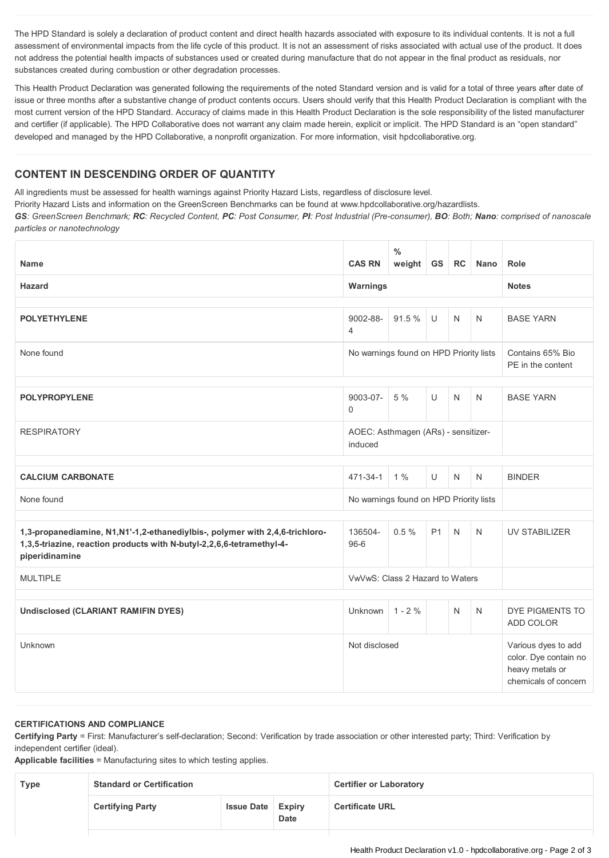The HPD Standard is solely a declaration of product content and direct health hazards associated with exposure to its individual contents. It is not a full assessment of environmental impacts from the life cycle of this product. It is not an assessment of risks associated with actual use of the product. It does not address the potential health impacts of substances used or created during manufacture that do not appear in the final product as residuals, nor substances created during combustion or other degradation processes.

This Health Product Declaration was generated following the requirements of the noted Standard version and is valid for a total of three years after date of issue or three months after a substantive change of product contents occurs. Users should verify that this Health Product Declaration is compliant with the most current version of the HPD Standard. Accuracy of claims made in this Health Product Declaration is the sole responsibility of the listed manufacturer and certifier (if applicable). The HPD Collaborative does not warrant any claim made herein, explicit or implicit. The HPD Standard is an "open standard" developed and managed by the HPD Collaborative, a nonprofit organization. For more information, visit hpdcollaborative.org.

## **CONTENT IN DESCENDING ORDER OF QUANTITY**

All ingredients must be assessed for health warnings against Priority Hazard Lists, regardless of disclosure level.

Priority Hazard Lists and information on the GreenScreen Benchmarks can be found at www.hpdcollaborative.org/hazardlists.

GS: GreenScreen Benchmark; RC: Recycled Content, PC: Post Consumer, PI: Post Industrial (Pre-consumer), BO: Both; Nano: comprised of nanoscale *particles or nanotechnology*

| <b>Name</b>                                                                                                                                                              | <b>CAS RN</b>                                  | $\frac{0}{0}$<br>weight | <b>GS</b>      | RC           | <b>Nano</b>                                                                             | Role                                  |
|--------------------------------------------------------------------------------------------------------------------------------------------------------------------------|------------------------------------------------|-------------------------|----------------|--------------|-----------------------------------------------------------------------------------------|---------------------------------------|
| <b>Hazard</b>                                                                                                                                                            | Warnings                                       |                         |                |              |                                                                                         | <b>Notes</b>                          |
| <b>POLYETHYLENE</b>                                                                                                                                                      | 9002-88-<br>$\overline{4}$                     | 91.5%                   | $\cup$         | N            | $\mathsf{N}$                                                                            | <b>BASE YARN</b>                      |
| None found                                                                                                                                                               | No warnings found on HPD Priority lists        |                         |                |              |                                                                                         | Contains 65% Bio<br>PE in the content |
| 9003-07-<br>$5\%$<br>$\cup$<br><b>POLYPROPYLENE</b><br>N<br>$\Omega$                                                                                                     |                                                |                         |                |              | N                                                                                       | <b>BASE YARN</b>                      |
| <b>RESPIRATORY</b>                                                                                                                                                       | AOEC: Asthmagen (ARs) - sensitizer-<br>induced |                         |                |              |                                                                                         |                                       |
| <b>CALCIUM CARBONATE</b>                                                                                                                                                 | 471-34-1                                       | $1\%$                   | U              | $\mathsf{N}$ | $\mathsf{N}$                                                                            | <b>BINDER</b>                         |
| None found                                                                                                                                                               | No warnings found on HPD Priority lists        |                         |                |              |                                                                                         |                                       |
| 1,3-propanediamine, N1, N1'-1,2-ethanediylbis-, polymer with 2,4,6-trichloro-<br>1,3,5-triazine, reaction products with N-butyl-2,2,6,6-tetramethyl-4-<br>piperidinamine | 136504-<br>$96-6$                              | 0.5%                    | P <sub>1</sub> | $\mathsf{N}$ | $\mathsf{N}$                                                                            | <b>UV STABILIZER</b>                  |
| <b>MULTIPLE</b>                                                                                                                                                          | VwVwS: Class 2 Hazard to Waters                |                         |                |              |                                                                                         |                                       |
| <b>Undisclosed (CLARIANT RAMIFIN DYES)</b>                                                                                                                               | Unknown                                        | $1 - 2 \%$              |                | N            | $\mathsf{N}$                                                                            | DYE PIGMENTS TO<br>ADD COLOR          |
| Unknown                                                                                                                                                                  | Not disclosed                                  |                         |                |              | Various dyes to add<br>color. Dye contain no<br>heavy metals or<br>chemicals of concern |                                       |

## **CERTIFICATIONS AND COMPLIANCE**

**Certifying Party** = First: Manufacturer's self-declaration; Second: Verification by trade association or other interested party; Third: Verification by independent certifier (ideal).

**Applicable facilities** = Manufacturing sites to which testing applies.

| Type | <b>Standard or Certification</b> |                          |             | <b>Certifier or Laboratory</b> |
|------|----------------------------------|--------------------------|-------------|--------------------------------|
|      | <b>Certifying Party</b>          | <b>Issue Date Expiry</b> | <b>Date</b> | <b>Certificate URL</b>         |